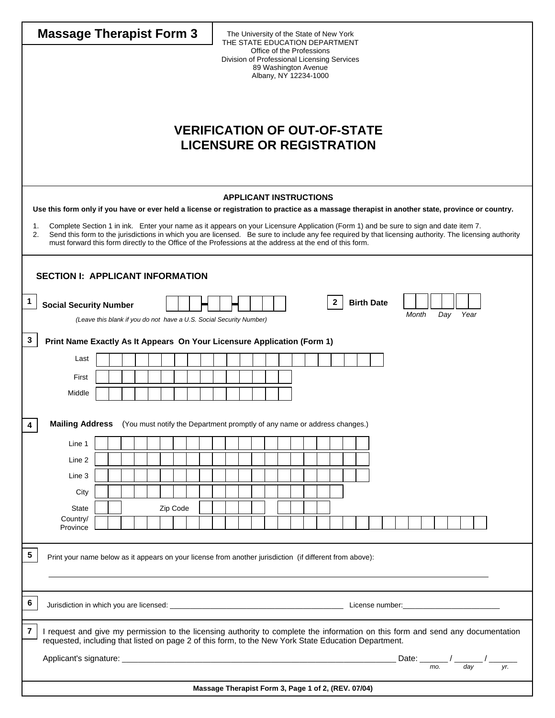| <b>Massage Therapist Form 3</b><br>The University of the State of New York<br>THE STATE EDUCATION DEPARTMENT<br>Office of the Professions<br>Division of Professional Licensing Services<br>89 Washington Avenue<br>Albany, NY 12234-1000<br><b>VERIFICATION OF OUT-OF-STATE</b><br><b>LICENSURE OR REGISTRATION</b>                                                                                                    |                                                                                                          |  |  |  |  |  |  |  |
|-------------------------------------------------------------------------------------------------------------------------------------------------------------------------------------------------------------------------------------------------------------------------------------------------------------------------------------------------------------------------------------------------------------------------|----------------------------------------------------------------------------------------------------------|--|--|--|--|--|--|--|
| <b>APPLICANT INSTRUCTIONS</b>                                                                                                                                                                                                                                                                                                                                                                                           |                                                                                                          |  |  |  |  |  |  |  |
| Use this form only if you have or ever held a license or registration to practice as a massage therapist in another state, province or country.                                                                                                                                                                                                                                                                         |                                                                                                          |  |  |  |  |  |  |  |
| 1.<br>Complete Section 1 in ink. Enter your name as it appears on your Licensure Application (Form 1) and be sure to sign and date item 7.<br>Send this form to the jurisdictions in which you are licensed. Be sure to include any fee required by that licensing authority. The licensing authority<br>2.<br>must forward this form directly to the Office of the Professions at the address at the end of this form. |                                                                                                          |  |  |  |  |  |  |  |
| <b>SECTION I: APPLICANT INFORMATION</b>                                                                                                                                                                                                                                                                                                                                                                                 |                                                                                                          |  |  |  |  |  |  |  |
| $\mathbf{1}$<br><b>Social Security Number</b>                                                                                                                                                                                                                                                                                                                                                                           | $\mathbf{2}$<br><b>Birth Date</b>                                                                        |  |  |  |  |  |  |  |
| (Leave this blank if you do not have a U.S. Social Security Number)                                                                                                                                                                                                                                                                                                                                                     | Year<br>Month<br>Day                                                                                     |  |  |  |  |  |  |  |
| 3<br>Print Name Exactly As It Appears On Your Licensure Application (Form 1)                                                                                                                                                                                                                                                                                                                                            |                                                                                                          |  |  |  |  |  |  |  |
| Last                                                                                                                                                                                                                                                                                                                                                                                                                    |                                                                                                          |  |  |  |  |  |  |  |
|                                                                                                                                                                                                                                                                                                                                                                                                                         |                                                                                                          |  |  |  |  |  |  |  |
| First<br>Middle                                                                                                                                                                                                                                                                                                                                                                                                         |                                                                                                          |  |  |  |  |  |  |  |
|                                                                                                                                                                                                                                                                                                                                                                                                                         |                                                                                                          |  |  |  |  |  |  |  |
| 4                                                                                                                                                                                                                                                                                                                                                                                                                       | <b>Mailing Address</b> (You must notify the Department promptly of any name or address changes.)         |  |  |  |  |  |  |  |
| Line 1                                                                                                                                                                                                                                                                                                                                                                                                                  |                                                                                                          |  |  |  |  |  |  |  |
| Line 2                                                                                                                                                                                                                                                                                                                                                                                                                  |                                                                                                          |  |  |  |  |  |  |  |
| Line 3                                                                                                                                                                                                                                                                                                                                                                                                                  |                                                                                                          |  |  |  |  |  |  |  |
| City                                                                                                                                                                                                                                                                                                                                                                                                                    |                                                                                                          |  |  |  |  |  |  |  |
| Zip Code<br><b>State</b>                                                                                                                                                                                                                                                                                                                                                                                                |                                                                                                          |  |  |  |  |  |  |  |
| Country/                                                                                                                                                                                                                                                                                                                                                                                                                |                                                                                                          |  |  |  |  |  |  |  |
| Province                                                                                                                                                                                                                                                                                                                                                                                                                |                                                                                                          |  |  |  |  |  |  |  |
| 5                                                                                                                                                                                                                                                                                                                                                                                                                       | Print your name below as it appears on your license from another jurisdiction (if different from above): |  |  |  |  |  |  |  |
|                                                                                                                                                                                                                                                                                                                                                                                                                         |                                                                                                          |  |  |  |  |  |  |  |
| 6                                                                                                                                                                                                                                                                                                                                                                                                                       |                                                                                                          |  |  |  |  |  |  |  |
| 7<br>I request and give my permission to the licensing authority to complete the information on this form and send any documentation<br>requested, including that listed on page 2 of this form, to the New York State Education Department.                                                                                                                                                                            |                                                                                                          |  |  |  |  |  |  |  |
| yr.                                                                                                                                                                                                                                                                                                                                                                                                                     |                                                                                                          |  |  |  |  |  |  |  |
| Massage Therapist Form 3, Page 1 of 2, (REV. 07/04)                                                                                                                                                                                                                                                                                                                                                                     |                                                                                                          |  |  |  |  |  |  |  |